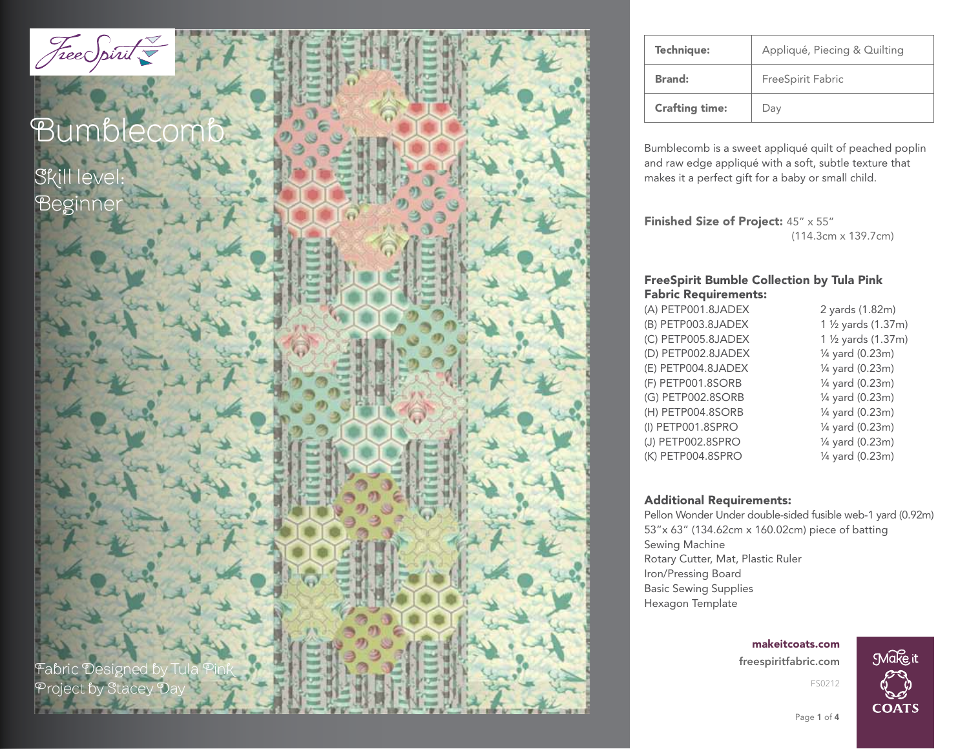

| <b>Technique:</b>     | Appliqué, Piecing & Quilting |
|-----------------------|------------------------------|
| <b>Brand:</b>         | FreeSpirit Fabric            |
| <b>Crafting time:</b> | Day                          |

Bumblecomb is a sweet appliqué quilt of peached poplin and raw edge appliqué with a soft, subtle texture that makes it a perfect gift for a baby or small child.

Finished Size of Project: 45" x 55" (114.3cm x 139.7cm)

### FreeSpirit Bumble Collection by Tula Pink Fabric Requirements:

| (A) PETP001.8JADEX | 2 yards (1.82m)     |
|--------------------|---------------------|
| (B) PETP003.8JADEX | 1 1/2 yards (1.37m) |
| (C) PETP005.8JADEX | 1 1/2 yards (1.37m) |
| (D) PETP002.8JADEX | 1/4 yard (0.23m)    |
| (E) PETP004.8JADEX | 1/4 yard (0.23m)    |
| (F) PETP001.8SORB  | 1/4 yard (0.23m)    |
| (G) PETP002.8SORB  | 1/4 yard (0.23m)    |
| (H) PETP004.8SORB  | 1/4 yard (0.23m)    |
| (I) PETP001.8SPRO  | 1/4 yard (0.23m)    |
| (J) PETP002.8SPRO  | 1/4 yard (0.23m)    |
| (K) PETP004.8SPRO  | 1/4 yard (0.23m)    |
|                    |                     |

#### Additional Requirements:

Pellon Wonder Under double-sided fusible web-1 yard (0.92m) 53"x 63" (134.62cm x 160.02cm) piece of batting Sewing Machine Rotary Cutter, Mat, Plastic Ruler Iron/Pressing Board Basic Sewing Supplies Hexagon Template

> freespiritfabric.com makeitcoats.com



FS0212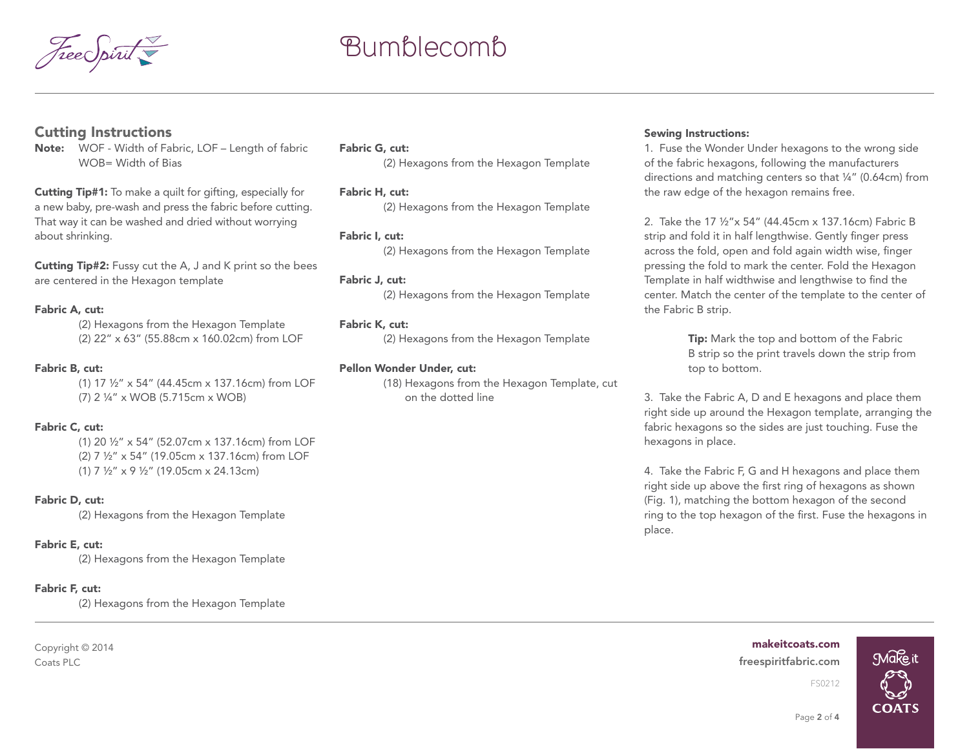

# Bumblecomb

### Cutting Instructions

Note: WOF - Width of Fabric, LOF – Length of fabric WOB= Width of Bias

Cutting Tip#1: To make a quilt for gifting, especially for a new baby, pre-wash and press the fabric before cutting. That way it can be washed and dried without worrying about shrinking.

Cutting Tip#2: Fussy cut the A, J and K print so the bees are centered in the Hexagon template

#### Fabric A, cut:

(2) Hexagons from the Hexagon Template (2) 22" x 63" (55.88cm x 160.02cm) from LOF

#### Fabric B, cut:

(1) 17 ½" x 54" (44.45cm x 137.16cm) from LOF (7) 2 ¼" x WOB (5.715cm x WOB)

#### Fabric C, cut:

(1) 20 ½" x 54" (52.07cm x 137.16cm) from LOF (2) 7 ½" x 54" (19.05cm x 137.16cm) from LOF (1) 7 ½" x 9 ½" (19.05cm x 24.13cm)

#### Fabric D, cut:

(2) Hexagons from the Hexagon Template

#### Fabric E, cut:

(2) Hexagons from the Hexagon Template

#### Fabric F, cut:

(2) Hexagons from the Hexagon Template

Copyright © 2014 Coats PLC freespiritfabric.com

#### Fabric G, cut:

(2) Hexagons from the Hexagon Template

#### Fabric H, cut:

(2) Hexagons from the Hexagon Template

#### Fabric I, cut:

(2) Hexagons from the Hexagon Template

#### Fabric J, cut:

(2) Hexagons from the Hexagon Template

#### Fabric K, cut:

(2) Hexagons from the Hexagon Template

#### Pellon Wonder Under, cut:

(18) Hexagons from the Hexagon Template, cut on the dotted line

#### Sewing Instructions:

1. Fuse the Wonder Under hexagons to the wrong side of the fabric hexagons, following the manufacturers directions and matching centers so that ¼" (0.64cm) from the raw edge of the hexagon remains free.

2. Take the 17 ½"x 54" (44.45cm x 137.16cm) Fabric B strip and fold it in half lengthwise. Gently finger press across the fold, open and fold again width wise, finger pressing the fold to mark the center. Fold the Hexagon Template in half widthwise and lengthwise to find the center. Match the center of the template to the center of the Fabric B strip.

> **Tip:** Mark the top and bottom of the Fabric B strip so the print travels down the strip from top to bottom.

3. Take the Fabric A, D and E hexagons and place them right side up around the Hexagon template, arranging the fabric hexagons so the sides are just touching. Fuse the hexagons in place.

4. Take the Fabric F, G and H hexagons and place them right side up above the first ring of hexagons as shown (Fig. 1), matching the bottom hexagon of the second ring to the top hexagon of the first. Fuse the hexagons in place.

### makeitcoats.com



Page 2 of 4

FS0212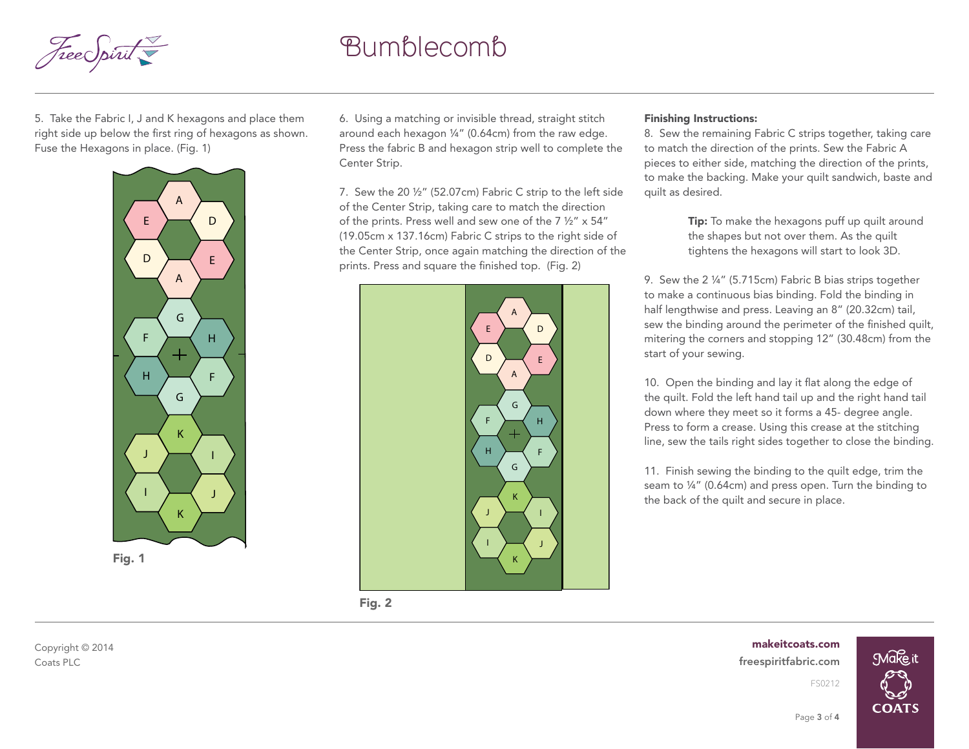

## Bumblecomb

5. Take the Fabric I, J and K hexagons and place them right side up below the first ring of hexagons as shown. Fuse the Hexagons in place. (Fig. 1)



6. Using a matching or invisible thread, straight stitch around each hexagon ¼" (0.64cm) from the raw edge. Press the fabric B and hexagon strip well to complete the Center Strip.

7. Sew the 20 ½" (52.07cm) Fabric C strip to the left side of the Center Strip, taking care to match the direction of the prints. Press well and sew one of the 7 ½" x 54" (19.05cm x 137.16cm) Fabric C strips to the right side of the Center Strip, once again matching the direction of the prints. Press and square the finished top. (Fig. 2)



#### Finishing Instructions:

8. Sew the remaining Fabric C strips together, taking care to match the direction of the prints. Sew the Fabric A pieces to either side, matching the direction of the prints, to make the backing. Make your quilt sandwich, baste and quilt as desired.

> **Tip:** To make the hexagons puff up quilt around the shapes but not over them. As the quilt tightens the hexagons will start to look 3D.

9. Sew the 2 ¼" (5.715cm) Fabric B bias strips together to make a continuous bias binding. Fold the binding in half lengthwise and press. Leaving an 8" (20.32cm) tail, sew the binding around the perimeter of the finished quilt, mitering the corners and stopping 12" (30.48cm) from the start of your sewing.

10. Open the binding and lay it flat along the edge of the quilt. Fold the left hand tail up and the right hand tail down where they meet so it forms a 45- degree angle. Press to form a crease. Using this crease at the stitching line, sew the tails right sides together to close the binding.

11. Finish sewing the binding to the quilt edge, trim the seam to ¼" (0.64cm) and press open. Turn the binding to the back of the quilt and secure in place.

Fig. 2

Coats PLC freespiritfabric.com makeitcoats.com FS0212



Copyright © 2014